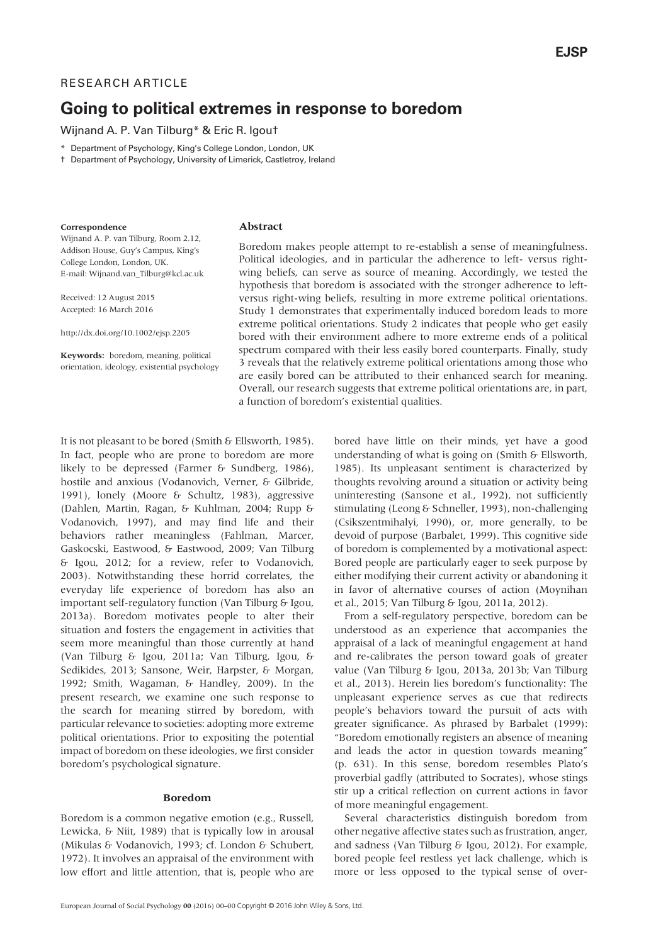## RESEARCH ARTICLE

# Going to political extremes in response to boredom

Wijnand A. P. Van Tilburg\* & Eric R. Igou†

- \* Department of Psychology, King's College London, London, UK
- † Department of Psychology, University of Limerick, Castletroy, Ireland

#### Correspondence

## Abstract

Wijnand A. P. van Tilburg, Room 2.12, Addison House, Guy's Campus, King's College London, London, UK. E-mail: Wijnand.van\_Tilburg@kcl.ac.uk

Received: 12 August 2015 Accepted: 16 March 2016

<http://dx.doi.org/10.1002/ejsp.2205>

Keywords: boredom, meaning, political orientation, ideology, existential psychology Boredom makes people attempt to re-establish a sense of meaningfulness. Political ideologies, and in particular the adherence to left- versus rightwing beliefs, can serve as source of meaning. Accordingly, we tested the hypothesis that boredom is associated with the stronger adherence to leftversus right-wing beliefs, resulting in more extreme political orientations. Study 1 demonstrates that experimentally induced boredom leads to more extreme political orientations. Study 2 indicates that people who get easily bored with their environment adhere to more extreme ends of a political spectrum compared with their less easily bored counterparts. Finally, study 3 reveals that the relatively extreme political orientations among those who are easily bored can be attributed to their enhanced search for meaning. Overall, our research suggests that extreme political orientations are, in part, a function of boredom's existential qualities.

It is not pleasant to be bored (Smith & Ellsworth, 1985). In fact, people who are prone to boredom are more likely to be depressed (Farmer & Sundberg, 1986), hostile and anxious (Vodanovich, Verner, & Gilbride, 1991), lonely (Moore & Schultz, 1983), aggressive (Dahlen, Martin, Ragan, & Kuhlman, 2004; Rupp & Vodanovich, 1997), and may find life and their behaviors rather meaningless (Fahlman, Marcer, Gaskocski, Eastwood, & Eastwood, 2009; Van Tilburg & Igou, 2012; for a review, refer to Vodanovich, 2003). Notwithstanding these horrid correlates, the everyday life experience of boredom has also an important self-regulatory function (Van Tilburg & Igou, 2013a). Boredom motivates people to alter their situation and fosters the engagement in activities that seem more meaningful than those currently at hand (Van Tilburg & Igou, 2011a; Van Tilburg, Igou, & Sedikides, 2013; Sansone, Weir, Harpster, & Morgan, 1992; Smith, Wagaman, & Handley, 2009). In the present research, we examine one such response to the search for meaning stirred by boredom, with particular relevance to societies: adopting more extreme political orientations. Prior to expositing the potential impact of boredom on these ideologies, we first consider boredom's psychological signature.

#### Boredom

Boredom is a common negative emotion (e.g., Russell, Lewicka, & Niit, 1989) that is typically low in arousal (Mikulas & Vodanovich, 1993; cf. London & Schubert, 1972). It involves an appraisal of the environment with low effort and little attention, that is, people who are

bored have little on their minds, yet have a good understanding of what is going on (Smith & Ellsworth, 1985). Its unpleasant sentiment is characterized by thoughts revolving around a situation or activity being uninteresting (Sansone et al., 1992), not sufficiently stimulating (Leong & Schneller, 1993), non-challenging (Csikszentmihalyi, 1990), or, more generally, to be devoid of purpose (Barbalet, 1999). This cognitive side of boredom is complemented by a motivational aspect: Bored people are particularly eager to seek purpose by either modifying their current activity or abandoning it in favor of alternative courses of action (Moynihan et al., 2015; Van Tilburg & Igou, 2011a, 2012).

From a self-regulatory perspective, boredom can be understood as an experience that accompanies the appraisal of a lack of meaningful engagement at hand and re-calibrates the person toward goals of greater value (Van Tilburg & Igou, 2013a, 2013b; Van Tilburg et al., 2013). Herein lies boredom's functionality: The unpleasant experience serves as cue that redirects people's behaviors toward the pursuit of acts with greater significance. As phrased by Barbalet (1999): "Boredom emotionally registers an absence of meaning and leads the actor in question towards meaning" (p. 631). In this sense, boredom resembles Plato's proverbial gadfly (attributed to Socrates), whose stings stir up a critical reflection on current actions in favor of more meaningful engagement.

Several characteristics distinguish boredom from other negative affective states such as frustration, anger, and sadness (Van Tilburg & Igou, 2012). For example, bored people feel restless yet lack challenge, which is more or less opposed to the typical sense of over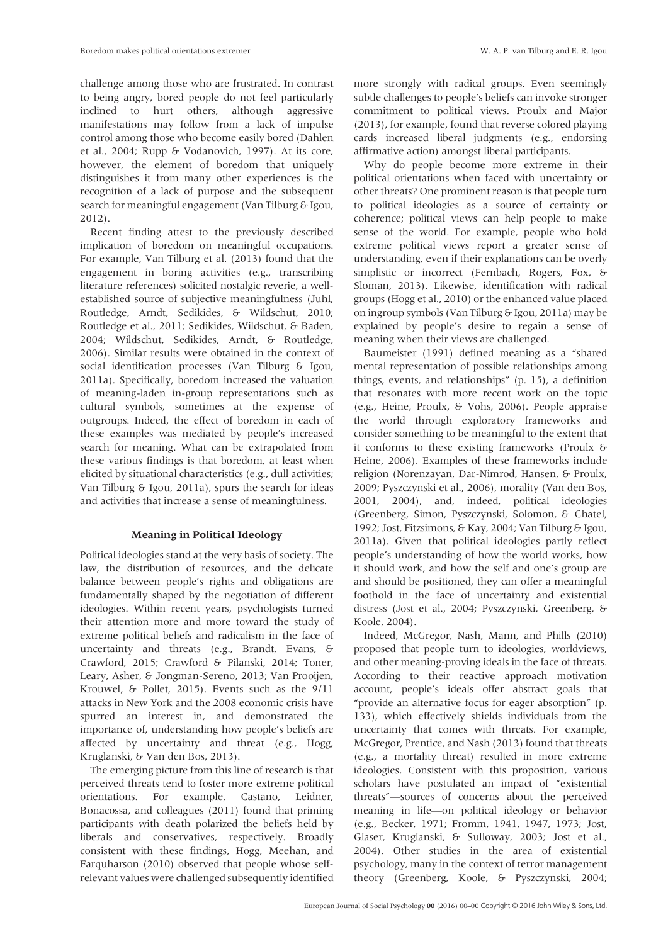challenge among those who are frustrated. In contrast to being angry, bored people do not feel particularly inclined to hurt others, although aggressive manifestations may follow from a lack of impulse control among those who become easily bored (Dahlen et al., 2004; Rupp & Vodanovich, 1997). At its core, however, the element of boredom that uniquely distinguishes it from many other experiences is the recognition of a lack of purpose and the subsequent search for meaningful engagement (Van Tilburg & Igou, 2012).

Recent finding attest to the previously described implication of boredom on meaningful occupations. For example, Van Tilburg et al. (2013) found that the engagement in boring activities (e.g., transcribing literature references) solicited nostalgic reverie, a wellestablished source of subjective meaningfulness (Juhl, Routledge, Arndt, Sedikides, & Wildschut, 2010; Routledge et al., 2011; Sedikides, Wildschut, & Baden, 2004; Wildschut, Sedikides, Arndt, & Routledge, 2006). Similar results were obtained in the context of social identification processes (Van Tilburg & Igou, 2011a). Specifically, boredom increased the valuation of meaning-laden in-group representations such as cultural symbols, sometimes at the expense of outgroups. Indeed, the effect of boredom in each of these examples was mediated by people's increased search for meaning. What can be extrapolated from these various findings is that boredom, at least when elicited by situational characteristics (e.g., dull activities; Van Tilburg & Igou, 2011a), spurs the search for ideas and activities that increase a sense of meaningfulness.

## Meaning in Political Ideology

Political ideologies stand at the very basis of society. The law, the distribution of resources, and the delicate balance between people's rights and obligations are fundamentally shaped by the negotiation of different ideologies. Within recent years, psychologists turned their attention more and more toward the study of extreme political beliefs and radicalism in the face of uncertainty and threats (e.g., Brandt, Evans, & Crawford, 2015; Crawford & Pilanski, 2014; Toner, Leary, Asher, & Jongman-Sereno, 2013; Van Prooijen, Krouwel, & Pollet, 2015). Events such as the 9/11 attacks in New York and the 2008 economic crisis have spurred an interest in, and demonstrated the importance of, understanding how people's beliefs are affected by uncertainty and threat (e.g., Hogg, Kruglanski, & Van den Bos, 2013).

The emerging picture from this line of research is that perceived threats tend to foster more extreme political orientations. For example, Castano, Leidner, Bonacossa, and colleagues (2011) found that priming participants with death polarized the beliefs held by liberals and conservatives, respectively. Broadly consistent with these findings, Hogg, Meehan, and Farquharson (2010) observed that people whose selfrelevant values were challenged subsequently identified

more strongly with radical groups. Even seemingly subtle challenges to people's beliefs can invoke stronger commitment to political views. Proulx and Major (2013), for example, found that reverse colored playing cards increased liberal judgments (e.g., endorsing affirmative action) amongst liberal participants.

Why do people become more extreme in their political orientations when faced with uncertainty or other threats? One prominent reason is that people turn to political ideologies as a source of certainty or coherence; political views can help people to make sense of the world. For example, people who hold extreme political views report a greater sense of understanding, even if their explanations can be overly simplistic or incorrect (Fernbach, Rogers, Fox, & Sloman, 2013). Likewise, identification with radical groups (Hogg et al., 2010) or the enhanced value placed on ingroup symbols (Van Tilburg & Igou, 2011a) may be explained by people's desire to regain a sense of meaning when their views are challenged.

Baumeister (1991) defined meaning as a "shared mental representation of possible relationships among things, events, and relationships" (p. 15), a definition that resonates with more recent work on the topic (e.g., Heine, Proulx, & Vohs, 2006). People appraise the world through exploratory frameworks and consider something to be meaningful to the extent that it conforms to these existing frameworks (Proulx & Heine, 2006). Examples of these frameworks include religion (Norenzayan, Dar-Nimrod, Hansen, & Proulx, 2009; Pyszczynski et al., 2006), morality (Van den Bos, 2001, 2004), and, indeed, political ideologies (Greenberg, Simon, Pyszczynski, Solomon, & Chatel, 1992; Jost, Fitzsimons, & Kay, 2004; Van Tilburg & Igou, 2011a). Given that political ideologies partly reflect people's understanding of how the world works, how it should work, and how the self and one's group are and should be positioned, they can offer a meaningful foothold in the face of uncertainty and existential distress (Jost et al., 2004; Pyszczynski, Greenberg, & Koole, 2004).

Indeed, McGregor, Nash, Mann, and Phills (2010) proposed that people turn to ideologies, worldviews, and other meaning-proving ideals in the face of threats. According to their reactive approach motivation account, people's ideals offer abstract goals that "provide an alternative focus for eager absorption" (p. 133), which effectively shields individuals from the uncertainty that comes with threats. For example, McGregor, Prentice, and Nash (2013) found that threats (e.g., a mortality threat) resulted in more extreme ideologies. Consistent with this proposition, various scholars have postulated an impact of "existential threats"—sources of concerns about the perceived meaning in life—on political ideology or behavior (e.g., Becker, 1971; Fromm, 1941, 1947, 1973; Jost, Glaser, Kruglanski, & Sulloway, 2003; Jost et al., 2004). Other studies in the area of existential psychology, many in the context of terror management theory (Greenberg, Koole, & Pyszczynski, 2004;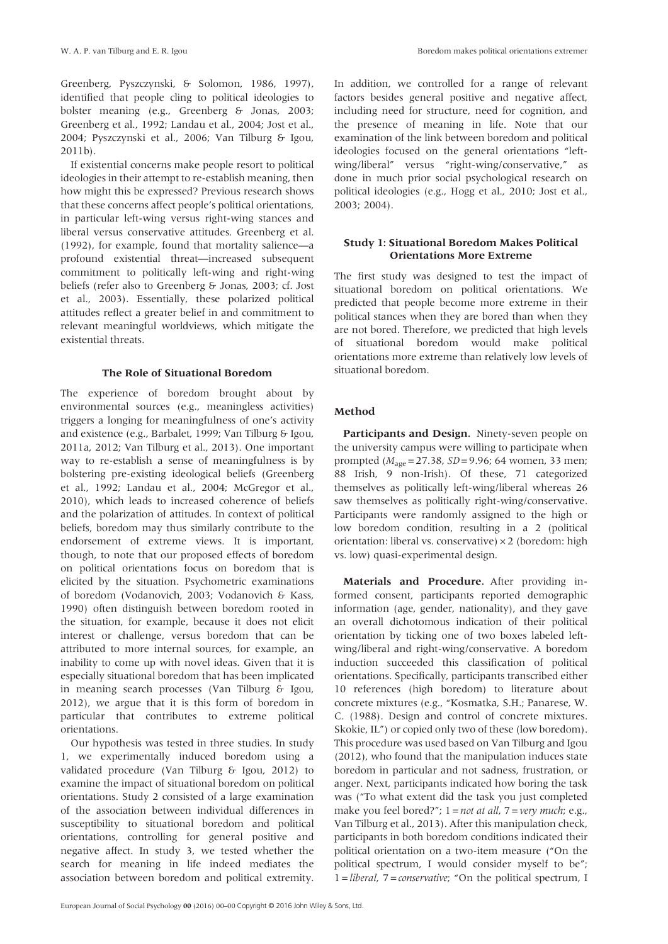Greenberg, Pyszczynski, & Solomon, 1986, 1997), identified that people cling to political ideologies to bolster meaning (e.g., Greenberg & Jonas, 2003; Greenberg et al., 1992; Landau et al., 2004; Jost et al., 2004; Pyszczynski et al., 2006; Van Tilburg & Igou, 2011b).

If existential concerns make people resort to political ideologies in their attempt to re-establish meaning, then how might this be expressed? Previous research shows that these concerns affect people's political orientations, in particular left-wing versus right-wing stances and liberal versus conservative attitudes. Greenberg et al. (1992), for example, found that mortality salience—a profound existential threat—increased subsequent commitment to politically left-wing and right-wing beliefs (refer also to Greenberg & Jonas, 2003; cf. Jost et al., 2003). Essentially, these polarized political attitudes reflect a greater belief in and commitment to relevant meaningful worldviews, which mitigate the existential threats.

#### The Role of Situational Boredom

The experience of boredom brought about by environmental sources (e.g., meaningless activities) triggers a longing for meaningfulness of one's activity and existence (e.g., Barbalet, 1999; Van Tilburg & Igou, 2011a, 2012; Van Tilburg et al., 2013). One important way to re-establish a sense of meaningfulness is by bolstering pre-existing ideological beliefs (Greenberg et al., 1992; Landau et al., 2004; McGregor et al., 2010), which leads to increased coherence of beliefs and the polarization of attitudes. In context of political beliefs, boredom may thus similarly contribute to the endorsement of extreme views. It is important, though, to note that our proposed effects of boredom on political orientations focus on boredom that is elicited by the situation. Psychometric examinations of boredom (Vodanovich, 2003; Vodanovich & Kass, 1990) often distinguish between boredom rooted in the situation, for example, because it does not elicit interest or challenge, versus boredom that can be attributed to more internal sources, for example, an inability to come up with novel ideas. Given that it is especially situational boredom that has been implicated in meaning search processes (Van Tilburg & Igou, 2012), we argue that it is this form of boredom in particular that contributes to extreme political orientations.

Our hypothesis was tested in three studies. In study 1, we experimentally induced boredom using a validated procedure (Van Tilburg & Igou, 2012) to examine the impact of situational boredom on political orientations. Study 2 consisted of a large examination of the association between individual differences in susceptibility to situational boredom and political orientations, controlling for general positive and negative affect. In study 3, we tested whether the search for meaning in life indeed mediates the association between boredom and political extremity.

In addition, we controlled for a range of relevant factors besides general positive and negative affect, including need for structure, need for cognition, and the presence of meaning in life. Note that our examination of the link between boredom and political ideologies focused on the general orientations "leftwing/liberal" versus "right-wing/conservative," as done in much prior social psychological research on political ideologies (e.g., Hogg et al., 2010; Jost et al., 2003; 2004).

## Study 1: Situational Boredom Makes Political Orientations More Extreme

The first study was designed to test the impact of situational boredom on political orientations. We predicted that people become more extreme in their political stances when they are bored than when they are not bored. Therefore, we predicted that high levels of situational boredom would make political orientations more extreme than relatively low levels of situational boredom.

## Method

Participants and Design. Ninety-seven people on the university campus were willing to participate when prompted ( $M_{\text{age}} = 27.38$ ,  $SD = 9.96$ ; 64 women, 33 men; 88 Irish, 9 non-Irish). Of these, 71 categorized themselves as politically left-wing/liberal whereas 26 saw themselves as politically right-wing/conservative. Participants were randomly assigned to the high or low boredom condition, resulting in a 2 (political orientation: liberal vs. conservative) × 2 (boredom: high vs. low) quasi-experimental design.

Materials and Procedure. After providing informed consent, participants reported demographic information (age, gender, nationality), and they gave an overall dichotomous indication of their political orientation by ticking one of two boxes labeled leftwing/liberal and right-wing/conservative. A boredom induction succeeded this classification of political orientations. Specifically, participants transcribed either 10 references (high boredom) to literature about concrete mixtures (e.g., "Kosmatka, S.H.; Panarese, W. C. (1988). Design and control of concrete mixtures. Skokie, IL") or copied only two of these (low boredom). This procedure was used based on Van Tilburg and Igou (2012), who found that the manipulation induces state boredom in particular and not sadness, frustration, or anger. Next, participants indicated how boring the task was ("To what extent did the task you just completed make you feel bored?";  $1 = not$  at all,  $7 = very$  much; e.g., Van Tilburg et al., 2013). After this manipulation check, participants in both boredom conditions indicated their political orientation on a two-item measure ("On the political spectrum, I would consider myself to be";  $1 = liberal$ ,  $7 = conservative$ ; "On the political spectrum, I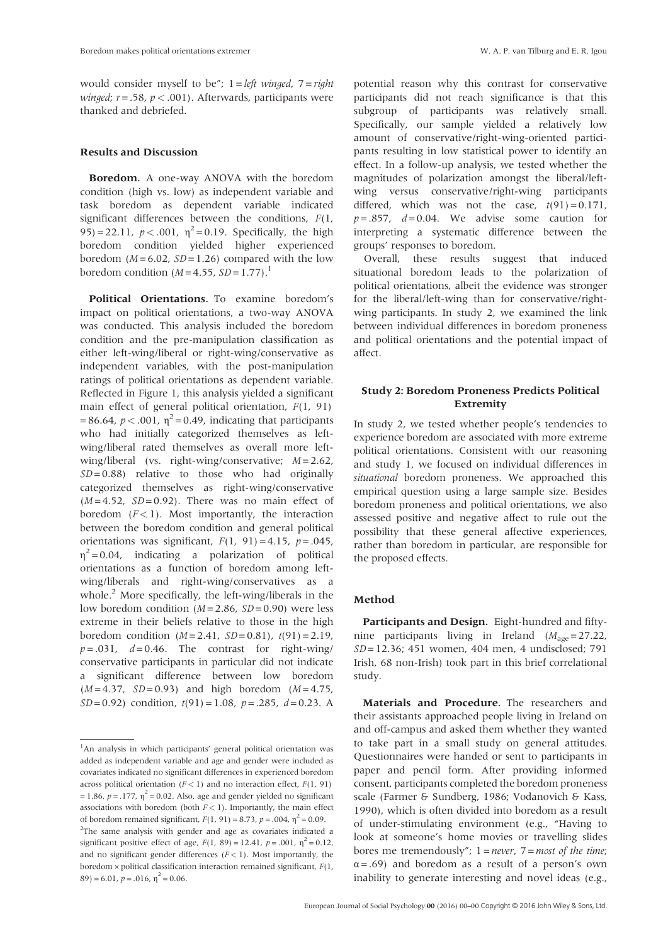would consider myself to be";  $1 = left$  winged,  $7 = right$ winged;  $r = .58$ ,  $p < .001$ ). Afterwards, participants were thanked and debriefed.

## Results and Discussion

Boredom. A one-way ANOVA with the boredom condition (high vs. low) as independent variable and task boredom as dependent variable indicated significant differences between the conditions,  $F(1,$ 95) = 22.11,  $p < .001$ ,  $\eta^2 = 0.19$ . Specifically, the high boredom condition yielded higher experienced boredom ( $M = 6.02$ ,  $SD = 1.26$ ) compared with the low boredom condition  $(M=4.55, SD=1.77).$ <sup>1</sup>

Political Orientations. To examine boredom's impact on political orientations, a two-way ANOVA was conducted. This analysis included the boredom condition and the pre-manipulation classification as either left-wing/liberal or right-wing/conservative as independent variables, with the post-manipulation ratings of political orientations as dependent variable. Reflected in Figure 1, this analysis yielded a significant main effect of general political orientation,  $F(1, 91)$ = 86.64,  $p < .001$ ,  $\eta^2$  = 0.49, indicating that participants who had initially categorized themselves as leftwing/liberal rated themselves as overall more leftwing/liberal (vs. right-wing/conservative;  $M = 2.62$ ,  $SD = 0.88$ ) relative to those who had originally categorized themselves as right-wing/conservative  $(M=4.52, SD=0.92)$ . There was no main effect of boredom  $(F<1)$ . Most importantly, the interaction between the boredom condition and general political orientations was significant,  $F(1, 91) = 4.15$ ,  $p = .045$ ,  $\eta^2$  = 0.04, indicating a polarization of political orientations as a function of boredom among leftwing/liberals and right-wing/conservatives as a whole.<sup>2</sup> More specifically, the left-wing/liberals in the low boredom condition ( $M = 2.86$ ,  $SD = 0.90$ ) were less extreme in their beliefs relative to those in the high boredom condition  $(M = 2.41, SD = 0.81)$ ,  $t(91) = 2.19$ ,  $p = .031$ ,  $d = 0.46$ . The contrast for right-wing/ conservative participants in particular did not indicate a significant difference between low boredom  $(M = 4.37, SD = 0.93)$  and high boredom  $(M = 4.75,$  $SD = 0.92$ ) condition,  $t(91) = 1.08$ ,  $p = .285$ ,  $d = 0.23$ . A

potential reason why this contrast for conservative participants did not reach significance is that this subgroup of participants was relatively small. Specifically, our sample yielded a relatively low amount of conservative/right-wing-oriented participants resulting in low statistical power to identify an effect. In a follow-up analysis, we tested whether the magnitudes of polarization amongst the liberal/leftwing versus conservative/right-wing participants differed, which was not the case,  $t(91) = 0.171$ ,  $p = .857$ ,  $d = 0.04$ . We advise some caution for interpreting a systematic difference between the groups' responses to boredom.

Overall, these results suggest that induced situational boredom leads to the polarization of political orientations, albeit the evidence was stronger for the liberal/left-wing than for conservative/rightwing participants. In study 2, we examined the link between individual differences in boredom proneness and political orientations and the potential impact of affect.

## Study 2: Boredom Proneness Predicts Political Extremity

In study 2, we tested whether people's tendencies to experience boredom are associated with more extreme political orientations. Consistent with our reasoning and study 1, we focused on individual differences in situational boredom proneness. We approached this empirical question using a large sample size. Besides boredom proneness and political orientations, we also assessed positive and negative affect to rule out the possibility that these general affective experiences, rather than boredom in particular, are responsible for the proposed effects.

#### Method

Participants and Design. Eight-hundred and fiftynine participants living in Ireland ( $M_{\text{age}} = 27.22$ , SD= 12.36; 451 women, 404 men, 4 undisclosed; 791 Irish, 68 non-Irish) took part in this brief correlational study.

Materials and Procedure. The researchers and their assistants approached people living in Ireland on and off-campus and asked them whether they wanted to take part in a small study on general attitudes. Questionnaires were handed or sent to participants in paper and pencil form. After providing informed consent, participants completed the boredom proneness scale (Farmer & Sundberg, 1986; Vodanovich & Kass, 1990), which is often divided into boredom as a result of under-stimulating environment (e.g., "Having to look at someone's home movies or travelling slides bores me tremendously";  $1 = never$ ,  $7 = most$  of the time;  $\alpha = .69$ ) and boredom as a result of a person's own inability to generate interesting and novel ideas (e.g.,

<sup>&</sup>lt;sup>1</sup>An analysis in which participants' general political orientation was added as independent variable and age and gender were included as covariates indicated no significant differences in experienced boredom across political orientation ( $F < 1$ ) and no interaction effect,  $F(1, 91)$ = 1.86,  $p = .177$ ,  $\eta^2 = 0.02$ . Also, age and gender yielded no significant associations with boredom (both  $F < 1$ ). Importantly, the main effect of boredom remained significant,  $F(1, 91) = 8.73$ ,  $p = .004$ ,  $\eta^2 = 0.09$ . <sup>2</sup>The same analysis with gender and age as covariates indicated a significant positive effect of age,  $F(1, 89) = 12.41$ ,  $p = .001$ ,  $\eta^2 = 0.12$ , and no significant gender differences  $(F < 1)$ . Most importantly, the boredom  $\times$  political classification interaction remained significant,  $F(1,$  $89$ ) = 6.01, p = .016,  $\eta^2$  = 0.06.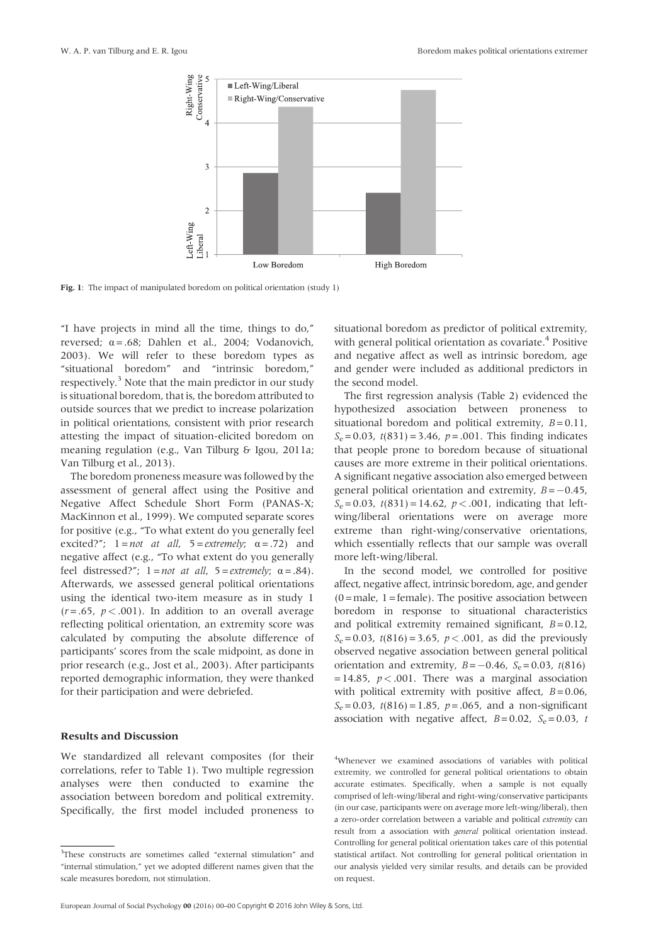

Fig. 1: The impact of manipulated boredom on political orientation (study 1)

"I have projects in mind all the time, things to do," reversed;  $\alpha = .68$ ; Dahlen et al., 2004; Vodanovich, 2003). We will refer to these boredom types as "situational boredom" and "intrinsic boredom," respectively.<sup>3</sup> Note that the main predictor in our study is situational boredom, that is, the boredom attributed to outside sources that we predict to increase polarization in political orientations, consistent with prior research attesting the impact of situation-elicited boredom on meaning regulation (e.g., Van Tilburg & Igou, 2011a; Van Tilburg et al., 2013).

The boredom proneness measure was followed by the assessment of general affect using the Positive and Negative Affect Schedule Short Form (PANAS-X; MacKinnon et al., 1999). We computed separate scores for positive (e.g., "To what extent do you generally feel excited?";  $1 = not$  at all,  $5 = extremely$ ;  $\alpha = .72$ ) and negative affect (e.g., "To what extent do you generally feel distressed?";  $1 = not$  at all,  $5 = extremely$ ;  $\alpha = .84$ ). Afterwards, we assessed general political orientations using the identical two-item measure as in study 1  $(r=.65, p<.001)$ . In addition to an overall average reflecting political orientation, an extremity score was calculated by computing the absolute difference of participants' scores from the scale midpoint, as done in prior research (e.g., Jost et al., 2003). After participants reported demographic information, they were thanked for their participation and were debriefed.

## Results and Discussion

We standardized all relevant composites (for their correlations, refer to Table 1). Two multiple regression analyses were then conducted to examine the association between boredom and political extremity. Specifically, the first model included proneness to situational boredom as predictor of political extremity, with general political orientation as covariate.<sup>4</sup> Positive and negative affect as well as intrinsic boredom, age and gender were included as additional predictors in the second model.

The first regression analysis (Table 2) evidenced the hypothesized association between proneness to situational boredom and political extremity,  $B = 0.11$ ,  $S_e = 0.03$ ,  $t(831) = 3.46$ ,  $p = .001$ . This finding indicates that people prone to boredom because of situational causes are more extreme in their political orientations. A significant negative association also emerged between general political orientation and extremity,  $B = -0.45$ ,  $S_e = 0.03$ ,  $t(831) = 14.62$ ,  $p < .001$ , indicating that leftwing/liberal orientations were on average more extreme than right-wing/conservative orientations, which essentially reflects that our sample was overall more left-wing/liberal.

In the second model, we controlled for positive affect, negative affect, intrinsic boredom, age, and gender  $(0 = male, 1 = female)$ . The positive association between boredom in response to situational characteristics and political extremity remained significant,  $B = 0.12$ ,  $S_e = 0.03$ ,  $t(816) = 3.65$ ,  $p < .001$ , as did the previously observed negative association between general political orientation and extremity,  $B = -0.46$ ,  $S_e = 0.03$ ,  $t(816)$ = 14.85,  $p < .001$ . There was a marginal association with political extremity with positive affect,  $B = 0.06$ ,  $S_e = 0.03$ ,  $t(816) = 1.85$ ,  $p = .065$ , and a non-significant association with negative affect,  $B = 0.02$ ,  $S_e = 0.03$ , t

4 Whenever we examined associations of variables with political extremity, we controlled for general political orientations to obtain accurate estimates. Specifically, when a sample is not equally comprised of left-wing/liberal and right-wing/conservative participants (in our case, participants were on average more left-wing/liberal), then a zero-order correlation between a variable and political extremity can result from a association with general political orientation instead. Controlling for general political orientation takes care of this potential statistical artifact. Not controlling for general political orientation in our analysis yielded very similar results, and details can be provided on request.

<sup>&</sup>lt;sup>3</sup>These constructs are sometimes called "external stimulation" and "internal stimulation," yet we adopted different names given that the scale measures boredom, not stimulation.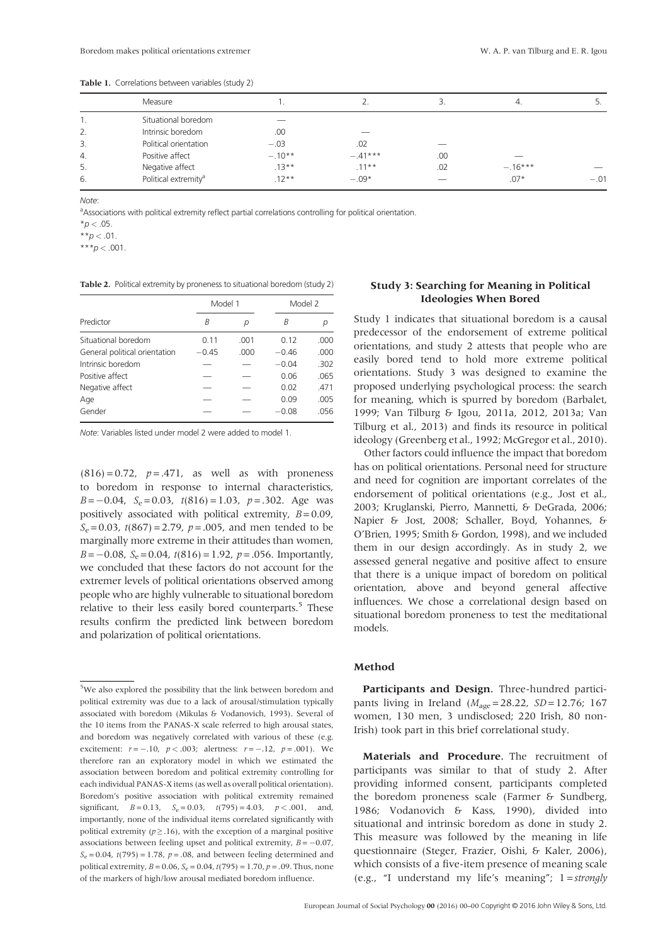| Measure                          |          |           | э.  | 4.        | . ب    |  |
|----------------------------------|----------|-----------|-----|-----------|--------|--|
| Situational boredom              |          |           |     |           |        |  |
| Intrinsic boredom                | .00      |           |     |           |        |  |
| Political orientation            | $-.03$   | .02       |     |           |        |  |
| Positive affect                  | $-.10**$ | $-.41***$ | .00 |           |        |  |
| Negative affect                  | $.13***$ | $.11***$  | .02 | $-.16***$ |        |  |
| Political extremity <sup>a</sup> | $.12**$  | $-.09*$   |     | $.07*$    | $-.01$ |  |
|                                  |          |           |     |           |        |  |

Table 1. Correlations between variables (study 2)

Note:

<sup>a</sup>Associations with political extremity reflect partial correlations controlling for political orientation.

 $*_{D}$  < .05.

\*\* $p < .01$ .

 $***p$  < .001.

Table 2. Political extremity by proneness to situational boredom (study 2)

|                               | Model 1 |       |         | Model 2 |  |
|-------------------------------|---------|-------|---------|---------|--|
| Predictor                     | В       | р     | B       |         |  |
| Situational boredom           | 0.11    | .001  | 0.12    | .000    |  |
| General political orientation | $-0.45$ | .000. | $-0.46$ | .000    |  |
| Intrinsic boredom             |         |       | $-0.04$ | .302    |  |
| Positive affect               |         |       | 0.06    | .065    |  |
| Negative affect               |         |       | 0.02    | .471    |  |
| Age                           |         |       | 0.09    | .005    |  |
| Gender                        |         |       | $-0.08$ | .056    |  |

Note: Variables listed under model 2 were added to model 1.

 $(816) = 0.72$ ,  $p = .471$ , as well as with proneness to boredom in response to internal characteristics,  $B=-0.04$ ,  $S_e=0.03$ ,  $t(816)=1.03$ ,  $p=.302$ . Age was positively associated with political extremity,  $B = 0.09$ ,  $S_e$  = 0.03,  $t(867)$  = 2.79,  $p$  = .005, and men tended to be marginally more extreme in their attitudes than women,  $B=-0.08$ ,  $S_e= 0.04$ ,  $t(816) = 1.92$ ,  $p = .056$ . Importantly, we concluded that these factors do not account for the extremer levels of political orientations observed among people who are highly vulnerable to situational boredom relative to their less easily bored counterparts.<sup>5</sup> These results confirm the predicted link between boredom and polarization of political orientations.

## Study 3: Searching for Meaning in Political Ideologies When Bored

Study 1 indicates that situational boredom is a causal predecessor of the endorsement of extreme political orientations, and study 2 attests that people who are easily bored tend to hold more extreme political orientations. Study 3 was designed to examine the proposed underlying psychological process: the search for meaning, which is spurred by boredom (Barbalet, 1999; Van Tilburg & Igou, 2011a, 2012, 2013a; Van Tilburg et al., 2013) and finds its resource in political ideology (Greenberg et al., 1992; McGregor et al., 2010).

Other factors could influence the impact that boredom has on political orientations. Personal need for structure and need for cognition are important correlates of the endorsement of political orientations (e.g., Jost et al., 2003; Kruglanski, Pierro, Mannetti, & DeGrada, 2006; Napier & Jost, 2008; Schaller, Boyd, Yohannes, & O'Brien, 1995; Smith & Gordon, 1998), and we included them in our design accordingly. As in study 2, we assessed general negative and positive affect to ensure that there is a unique impact of boredom on political orientation, above and beyond general affective influences. We chose a correlational design based on situational boredom proneness to test the meditational models.

## Method

Participants and Design. Three-hundred participants living in Ireland ( $M_{\text{age}} = 28.22$ ,  $SD = 12.76$ ; 167 women, 130 men, 3 undisclosed; 220 Irish, 80 non-Irish) took part in this brief correlational study.

Materials and Procedure. The recruitment of participants was similar to that of study 2. After providing informed consent, participants completed the boredom proneness scale (Farmer & Sundberg, 1986; Vodanovich & Kass, 1990), divided into situational and intrinsic boredom as done in study 2. This measure was followed by the meaning in life questionnaire (Steger, Frazier, Oishi, & Kaler, 2006), which consists of a five-item presence of meaning scale (e.g., "I understand my life's meaning"; 1=strongly

<sup>&</sup>lt;sup>5</sup>We also explored the possibility that the link between boredom and political extremity was due to a lack of arousal/stimulation typically associated with boredom (Mikulas & Vodanovich, 1993). Several of the 10 items from the PANAS-X scale referred to high arousal states, and boredom was negatively correlated with various of these (e.g. excitement:  $r = -.10$ ,  $p < .003$ ; alertness:  $r = -.12$ ,  $p = .001$ ). We therefore ran an exploratory model in which we estimated the association between boredom and political extremity controlling for each individual PANAS-X items (as well as overall political orientation). Boredom's positive association with political extremity remained significant,  $B = 0.13$ ,  $S_e = 0.03$ ,  $t(795) = 4.03$ ,  $p < .001$ , and, importantly, none of the individual items correlated significantly with political extremity ( $p \ge 0.16$ ), with the exception of a marginal positive associations between feeling upset and political extremity,  $B = -0.07$ ,  $S_e = 0.04$ ,  $t(795) = 1.78$ ,  $p = .08$ , and between feeling determined and political extremity,  $B = 0.06$ ,  $S_e = 0.04$ ,  $t(795) = 1.70$ ,  $p = .09$ . Thus, none of the markers of high/low arousal mediated boredom influence.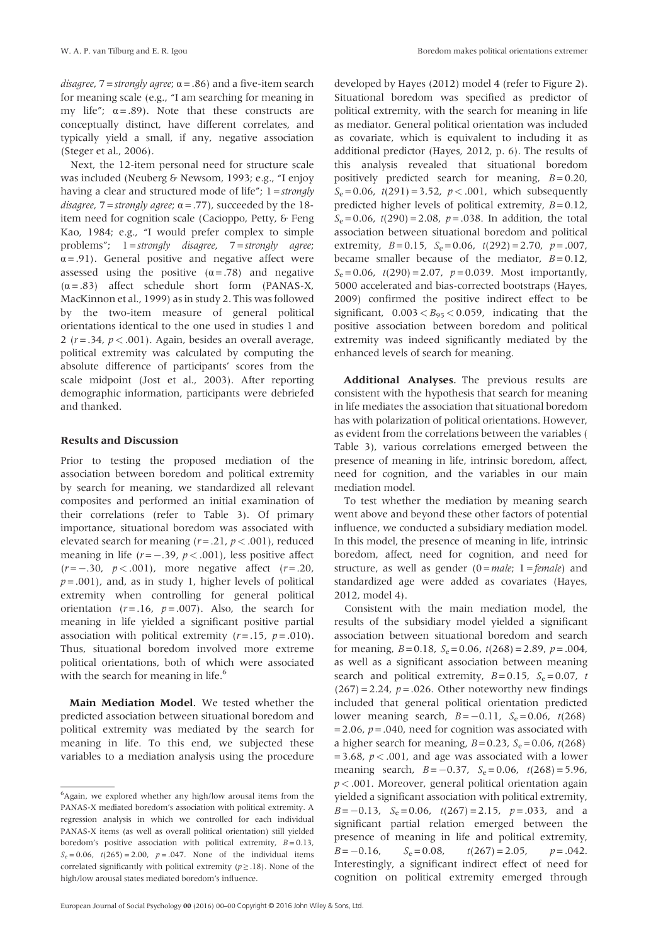disagree,  $7 =$ strongly agree;  $\alpha = .86$ ) and a five-item search for meaning scale (e.g., "I am searching for meaning in my life";  $\alpha = .89$ ). Note that these constructs are conceptually distinct, have different correlates, and typically yield a small, if any, negative association (Steger et al., 2006).

Next, the 12-item personal need for structure scale was included (Neuberg & Newsom, 1993; e.g., "I enjoy having a clear and structured mode of life";  $1 =$  strongly disagree,  $7 =$ strongly agree;  $\alpha = .77$ ), succeeded by the 18item need for cognition scale (Cacioppo, Petty, & Feng Kao, 1984; e.g., "I would prefer complex to simple problems"; 1=strongly disagree, 7=strongly agree;  $\alpha = .91$ ). General positive and negative affect were assessed using the positive  $(\alpha = .78)$  and negative  $(\alpha = .83)$  affect schedule short form (PANAS-X, MacKinnon et al., 1999) as in study 2. This was followed by the two-item measure of general political orientations identical to the one used in studies 1 and 2 ( $r = .34$ ,  $p < .001$ ). Again, besides an overall average, political extremity was calculated by computing the absolute difference of participants' scores from the scale midpoint (Jost et al., 2003). After reporting demographic information, participants were debriefed and thanked.

#### Results and Discussion

Prior to testing the proposed mediation of the association between boredom and political extremity by search for meaning, we standardized all relevant composites and performed an initial examination of their correlations (refer to Table 3). Of primary importance, situational boredom was associated with elevated search for meaning ( $r = .21$ ,  $p < .001$ ), reduced meaning in life ( $r = -.39$ ,  $p < .001$ ), less positive affect  $(r = -.30, p < .001)$ , more negative affect  $(r = .20,$  $p = .001$ ), and, as in study 1, higher levels of political extremity when controlling for general political orientation  $(r=.16, p=.007)$ . Also, the search for meaning in life yielded a significant positive partial association with political extremity  $(r=.15, p=.010)$ . Thus, situational boredom involved more extreme political orientations, both of which were associated with the search for meaning in life.<sup>6</sup>

Main Mediation Model. We tested whether the predicted association between situational boredom and political extremity was mediated by the search for meaning in life. To this end, we subjected these variables to a mediation analysis using the procedure

developed by Hayes (2012) model 4 (refer to Figure 2). Situational boredom was specified as predictor of political extremity, with the search for meaning in life as mediator. General political orientation was included as covariate, which is equivalent to including it as additional predictor (Hayes, 2012, p. 6). The results of this analysis revealed that situational boredom positively predicted search for meaning,  $B = 0.20$ ,  $S_e = 0.06$ ,  $t(291) = 3.52$ ,  $p < .001$ , which subsequently predicted higher levels of political extremity,  $B = 0.12$ ,  $S_e = 0.06$ ,  $t(290) = 2.08$ ,  $p = .038$ . In addition, the total association between situational boredom and political extremity,  $B = 0.15$ ,  $S_e = 0.06$ ,  $t(292) = 2.70$ ,  $p = .007$ , became smaller because of the mediator,  $B = 0.12$ ,  $S_e = 0.06$ ,  $t(290) = 2.07$ ,  $p = 0.039$ . Most importantly, 5000 accelerated and bias-corrected bootstraps (Hayes, 2009) confirmed the positive indirect effect to be significant,  $0.003 < B_{95} < 0.059$ , indicating that the positive association between boredom and political extremity was indeed significantly mediated by the enhanced levels of search for meaning.

Additional Analyses. The previous results are consistent with the hypothesis that search for meaning in life mediates the association that situational boredom has with polarization of political orientations. However, as evident from the correlations between the variables ( Table 3), various correlations emerged between the presence of meaning in life, intrinsic boredom, affect, need for cognition, and the variables in our main mediation model.

To test whether the mediation by meaning search went above and beyond these other factors of potential influence, we conducted a subsidiary mediation model. In this model, the presence of meaning in life, intrinsic boredom, affect, need for cognition, and need for structure, as well as gender  $(0 = male; 1 = female)$  and standardized age were added as covariates (Hayes, 2012, model 4).

Consistent with the main mediation model, the results of the subsidiary model yielded a significant association between situational boredom and search for meaning,  $B = 0.18$ ,  $S_e = 0.06$ ,  $t(268) = 2.89$ ,  $p = .004$ , as well as a significant association between meaning search and political extremity,  $B = 0.15$ ,  $S_e = 0.07$ , t  $(267) = 2.24$ ,  $p = .026$ . Other noteworthy new findings included that general political orientation predicted lower meaning search,  $B = -0.11$ ,  $S_e = 0.06$ ,  $t(268)$  $= 2.06$ ,  $p = .040$ , need for cognition was associated with a higher search for meaning,  $B = 0.23$ ,  $S_e = 0.06$ ,  $t(268)$  $= 3.68$ ,  $p < .001$ , and age was associated with a lower meaning search,  $B = -0.37$ ,  $S_e = 0.06$ ,  $t(268) = 5.96$ ,  $p < .001$ . Moreover, general political orientation again yielded a significant association with political extremity,  $B = -0.13$ ,  $S_e = 0.06$ ,  $t(267) = 2.15$ ,  $p = .033$ , and a significant partial relation emerged between the presence of meaning in life and political extremity,  $B = -0.16$ ,  $S_e = 0.08$ ,  $t(267) = 2.05$ ,  $p = .042$ . Interestingly, a significant indirect effect of need for cognition on political extremity emerged through

<sup>6</sup> Again, we explored whether any high/low arousal items from the PANAS-X mediated boredom's association with political extremity. A regression analysis in which we controlled for each individual PANAS-X items (as well as overall political orientation) still yielded boredom's positive association with political extremity,  $B = 0.13$ ,  $S_e = 0.06$ ,  $t(265) = 2.00$ ,  $p = .047$ . None of the individual items correlated significantly with political extremity ( $p \geq .18$ ). None of the high/low arousal states mediated boredom's influence.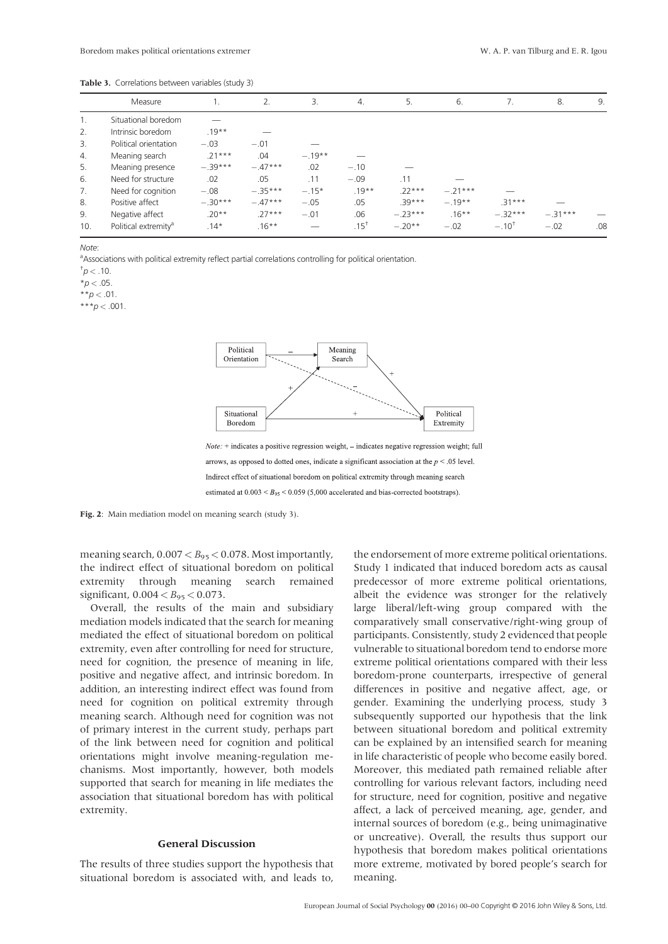Table 3. Correlations between variables (study 3)

|     | Measure                          |           | 2.        | 3.       | 4.        | 5.        | 6.        | 7.         | 8.        | 9.  |
|-----|----------------------------------|-----------|-----------|----------|-----------|-----------|-----------|------------|-----------|-----|
| 1.  | Situational boredom              |           |           |          |           |           |           |            |           |     |
| 2.  | Intrinsic boredom                | $.19**$   |           |          |           |           |           |            |           |     |
| 3.  | Political orientation            | $-.03$    | $-.01$    |          |           |           |           |            |           |     |
| 4.  | Meaning search                   | $.21***$  | .04       | $-.19**$ |           |           |           |            |           |     |
| 5.  | Meaning presence                 | $-.39***$ | $-.47***$ | .02      | $-.10$    |           |           |            |           |     |
| 6.  | Need for structure               | .02       | .05       | .11      | $-.09$    | .11       |           |            |           |     |
| 7.  | Need for cognition               | $-.08$    | $-.35***$ | $-.15*$  | $.19**$   | $22***$   | $-.21***$ |            |           |     |
| 8.  | Positive affect                  | $-.30***$ | $-.47***$ | $-.05$   | .05       | $.39***$  | $-.19**$  | $.31***$   |           |     |
| 9.  | Negative affect                  | $.20**$   | $.27***$  | $-.01$   | .06       | $-.23***$ | $.16***$  | $-.32***$  | $-.31***$ |     |
| 10. | Political extremity <sup>a</sup> | $.14*$    | $.16***$  |          | $.15^{+}$ | $-.20**$  | $-.02$    | $-.10^{+}$ | $-.02$    | .08 |

Note:

<sup>a</sup>Associations with political extremity reflect partial correlations controlling for political orientation.

 $\sigma^{\dagger}$ p < .10.

 $*p < .05$ .

\*\* $p < .01$ .

\*\*\* $p < .001$ .



Indirect effect of situational boredom on political extremity through meaning search

estimated at  $0.003 < B_{95} < 0.059$  (5,000 accelerated and bias-corrected bootstraps).

Fig. 2: Main mediation model on meaning search (study 3).

meaning search,  $0.007 < B_{95} < 0.078$ . Most importantly, the indirect effect of situational boredom on political extremity through meaning search remained significant,  $0.004 < B_{95} < 0.073$ .

Overall, the results of the main and subsidiary mediation models indicated that the search for meaning mediated the effect of situational boredom on political extremity, even after controlling for need for structure, need for cognition, the presence of meaning in life, positive and negative affect, and intrinsic boredom. In addition, an interesting indirect effect was found from need for cognition on political extremity through meaning search. Although need for cognition was not of primary interest in the current study, perhaps part of the link between need for cognition and political orientations might involve meaning-regulation mechanisms. Most importantly, however, both models supported that search for meaning in life mediates the association that situational boredom has with political extremity.

## General Discussion

The results of three studies support the hypothesis that situational boredom is associated with, and leads to, the endorsement of more extreme political orientations. Study 1 indicated that induced boredom acts as causal predecessor of more extreme political orientations, albeit the evidence was stronger for the relatively large liberal/left-wing group compared with the comparatively small conservative/right-wing group of participants. Consistently, study 2 evidenced that people vulnerable to situational boredom tend to endorse more extreme political orientations compared with their less boredom-prone counterparts, irrespective of general differences in positive and negative affect, age, or gender. Examining the underlying process, study 3 subsequently supported our hypothesis that the link between situational boredom and political extremity can be explained by an intensified search for meaning in life characteristic of people who become easily bored. Moreover, this mediated path remained reliable after controlling for various relevant factors, including need for structure, need for cognition, positive and negative affect, a lack of perceived meaning, age, gender, and internal sources of boredom (e.g., being unimaginative or uncreative). Overall, the results thus support our hypothesis that boredom makes political orientations more extreme, motivated by bored people's search for meaning.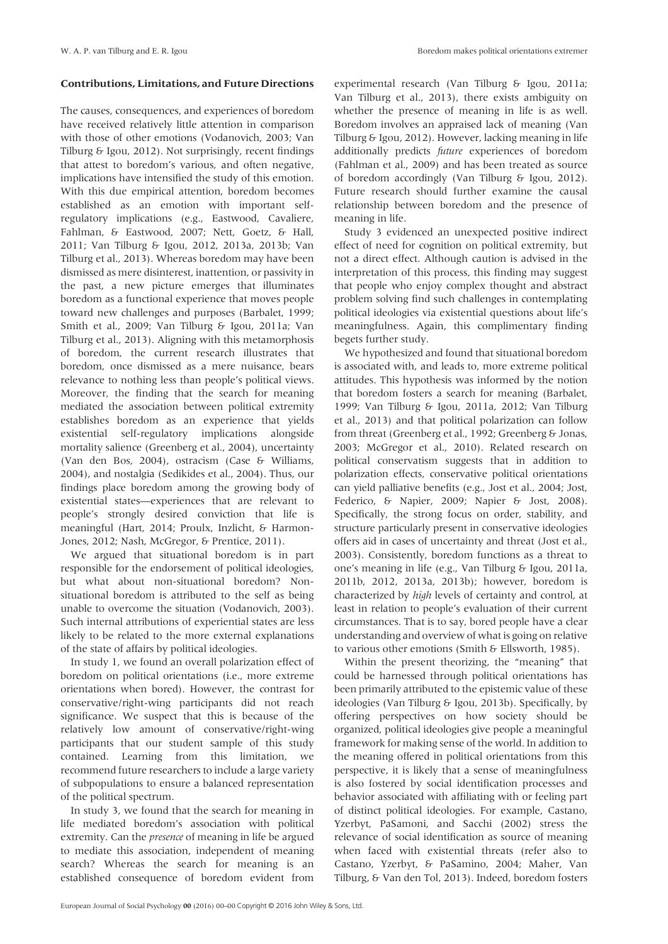#### Contributions, Limitations, and Future Directions

The causes, consequences, and experiences of boredom have received relatively little attention in comparison with those of other emotions (Vodanovich, 2003; Van Tilburg & Igou, 2012). Not surprisingly, recent findings that attest to boredom's various, and often negative, implications have intensified the study of this emotion. With this due empirical attention, boredom becomes established as an emotion with important selfregulatory implications (e.g., Eastwood, Cavaliere, Fahlman, & Eastwood, 2007; Nett, Goetz, & Hall, 2011; Van Tilburg & Igou, 2012, 2013a, 2013b; Van Tilburg et al., 2013). Whereas boredom may have been dismissed as mere disinterest, inattention, or passivity in the past, a new picture emerges that illuminates boredom as a functional experience that moves people toward new challenges and purposes (Barbalet, 1999; Smith et al., 2009; Van Tilburg & Igou, 2011a; Van Tilburg et al., 2013). Aligning with this metamorphosis of boredom, the current research illustrates that boredom, once dismissed as a mere nuisance, bears relevance to nothing less than people's political views. Moreover, the finding that the search for meaning mediated the association between political extremity establishes boredom as an experience that yields existential self-regulatory implications alongside mortality salience (Greenberg et al., 2004), uncertainty (Van den Bos, 2004), ostracism (Case & Williams, 2004), and nostalgia (Sedikides et al., 2004). Thus, our findings place boredom among the growing body of existential states—experiences that are relevant to people's strongly desired conviction that life is meaningful (Hart, 2014; Proulx, Inzlicht, & Harmon-Jones, 2012; Nash, McGregor, & Prentice, 2011).

We argued that situational boredom is in part responsible for the endorsement of political ideologies, but what about non-situational boredom? Nonsituational boredom is attributed to the self as being unable to overcome the situation (Vodanovich, 2003). Such internal attributions of experiential states are less likely to be related to the more external explanations of the state of affairs by political ideologies.

In study 1, we found an overall polarization effect of boredom on political orientations (i.e., more extreme orientations when bored). However, the contrast for conservative/right-wing participants did not reach significance. We suspect that this is because of the relatively low amount of conservative/right-wing participants that our student sample of this study contained. Learning from this limitation, we recommend future researchers to include a large variety of subpopulations to ensure a balanced representation of the political spectrum.

In study 3, we found that the search for meaning in life mediated boredom's association with political extremity. Can the *presence* of meaning in life be argued to mediate this association, independent of meaning search? Whereas the search for meaning is an established consequence of boredom evident from

experimental research (Van Tilburg & Igou, 2011a; Van Tilburg et al., 2013), there exists ambiguity on whether the presence of meaning in life is as well. Boredom involves an appraised lack of meaning (Van Tilburg & Igou, 2012). However, lacking meaning in life additionally predicts future experiences of boredom (Fahlman et al., 2009) and has been treated as source of boredom accordingly (Van Tilburg & Igou, 2012). Future research should further examine the causal relationship between boredom and the presence of meaning in life.

Study 3 evidenced an unexpected positive indirect effect of need for cognition on political extremity, but not a direct effect. Although caution is advised in the interpretation of this process, this finding may suggest that people who enjoy complex thought and abstract problem solving find such challenges in contemplating political ideologies via existential questions about life's meaningfulness. Again, this complimentary finding begets further study.

We hypothesized and found that situational boredom is associated with, and leads to, more extreme political attitudes. This hypothesis was informed by the notion that boredom fosters a search for meaning (Barbalet, 1999; Van Tilburg & Igou, 2011a, 2012; Van Tilburg et al., 2013) and that political polarization can follow from threat (Greenberg et al., 1992; Greenberg & Jonas, 2003; McGregor et al., 2010). Related research on political conservatism suggests that in addition to polarization effects, conservative political orientations can yield palliative benefits (e.g., Jost et al., 2004; Jost, Federico, & Napier, 2009; Napier & Jost, 2008). Specifically, the strong focus on order, stability, and structure particularly present in conservative ideologies offers aid in cases of uncertainty and threat (Jost et al., 2003). Consistently, boredom functions as a threat to one's meaning in life (e.g., Van Tilburg & Igou, 2011a, 2011b, 2012, 2013a, 2013b); however, boredom is characterized by high levels of certainty and control, at least in relation to people's evaluation of their current circumstances. That is to say, bored people have a clear understanding and overview of what is going on relative to various other emotions (Smith & Ellsworth, 1985).

Within the present theorizing, the "meaning" that could be harnessed through political orientations has been primarily attributed to the epistemic value of these ideologies (Van Tilburg & Igou, 2013b). Specifically, by offering perspectives on how society should be organized, political ideologies give people a meaningful framework for making sense of the world. In addition to the meaning offered in political orientations from this perspective, it is likely that a sense of meaningfulness is also fostered by social identification processes and behavior associated with affiliating with or feeling part of distinct political ideologies. For example, Castano, Yzerbyt, PaSamoni, and Sacchi (2002) stress the relevance of social identification as source of meaning when faced with existential threats (refer also to Castano, Yzerbyt, & PaSamino, 2004; Maher, Van Tilburg, & Van den Tol, 2013). Indeed, boredom fosters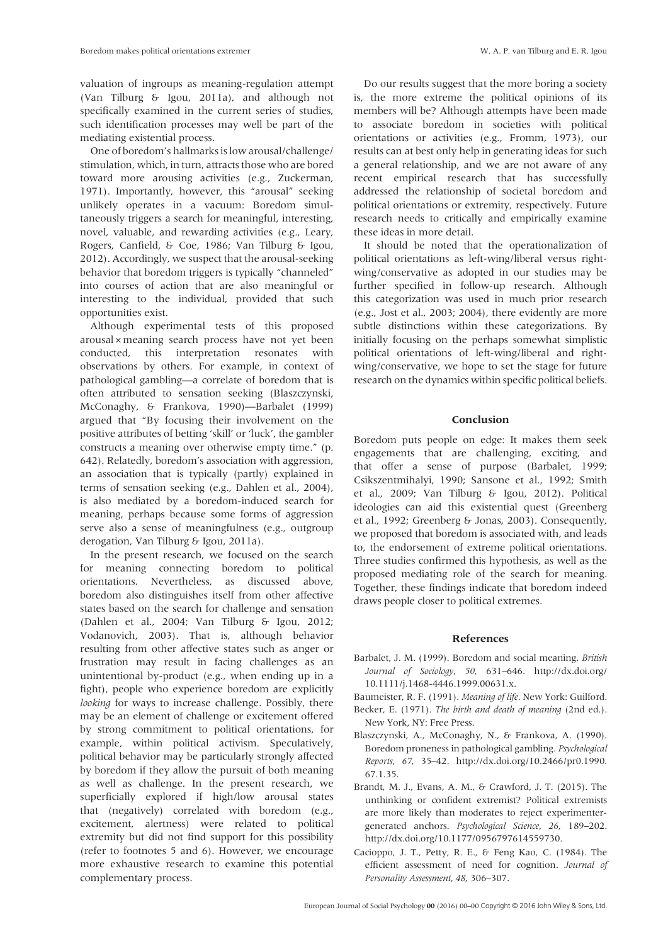valuation of ingroups as meaning-regulation attempt (Van Tilburg & Igou, 2011a), and although not specifically examined in the current series of studies, such identification processes may well be part of the mediating existential process.

One of boredom's hallmarks is low arousal/challenge/ stimulation, which, in turn, attracts those who are bored toward more arousing activities (e.g., Zuckerman, 1971). Importantly, however, this "arousal" seeking unlikely operates in a vacuum: Boredom simultaneously triggers a search for meaningful, interesting, novel, valuable, and rewarding activities (e.g., Leary, Rogers, Canfield, & Coe, 1986; Van Tilburg & Igou, 2012). Accordingly, we suspect that the arousal-seeking behavior that boredom triggers is typically "channeled" into courses of action that are also meaningful or interesting to the individual, provided that such opportunities exist.

Although experimental tests of this proposed arousal ×meaning search process have not yet been conducted, this interpretation resonates with observations by others. For example, in context of pathological gambling—a correlate of boredom that is often attributed to sensation seeking (Blaszczynski, McConaghy, & Frankova, 1990)—Barbalet (1999) argued that "By focusing their involvement on the positive attributes of betting 'skill' or 'luck', the gambler constructs a meaning over otherwise empty time." (p. 642). Relatedly, boredom's association with aggression, an association that is typically (partly) explained in terms of sensation seeking (e.g., Dahlen et al., 2004), is also mediated by a boredom-induced search for meaning, perhaps because some forms of aggression serve also a sense of meaningfulness (e.g., outgroup derogation, Van Tilburg & Igou, 2011a).

In the present research, we focused on the search for meaning connecting boredom to political orientations. Nevertheless, as discussed above, boredom also distinguishes itself from other affective states based on the search for challenge and sensation (Dahlen et al., 2004; Van Tilburg & Igou, 2012; Vodanovich, 2003). That is, although behavior resulting from other affective states such as anger or frustration may result in facing challenges as an unintentional by-product (e.g., when ending up in a fight), people who experience boredom are explicitly looking for ways to increase challenge. Possibly, there may be an element of challenge or excitement offered by strong commitment to political orientations, for example, within political activism. Speculatively, political behavior may be particularly strongly affected by boredom if they allow the pursuit of both meaning as well as challenge. In the present research, we superficially explored if high/low arousal states that (negatively) correlated with boredom (e.g., excitement, alertness) were related to political extremity but did not find support for this possibility (refer to footnotes 5 and 6). However, we encourage more exhaustive research to examine this potential complementary process.

Do our results suggest that the more boring a society is, the more extreme the political opinions of its members will be? Although attempts have been made to associate boredom in societies with political orientations or activities (e.g., Fromm, 1973), our results can at best only help in generating ideas for such a general relationship, and we are not aware of any recent empirical research that has successfully addressed the relationship of societal boredom and political orientations or extremity, respectively. Future research needs to critically and empirically examine these ideas in more detail.

It should be noted that the operationalization of political orientations as left-wing/liberal versus rightwing/conservative as adopted in our studies may be further specified in follow-up research. Although this categorization was used in much prior research (e.g., Jost et al., 2003; 2004), there evidently are more subtle distinctions within these categorizations. By initially focusing on the perhaps somewhat simplistic political orientations of left-wing/liberal and rightwing/conservative, we hope to set the stage for future research on the dynamics within specific political beliefs.

## Conclusion

Boredom puts people on edge: It makes them seek engagements that are challenging, exciting, and that offer a sense of purpose (Barbalet, 1999; Csikszentmihalyi, 1990; Sansone et al., 1992; Smith et al., 2009; Van Tilburg & Igou, 2012). Political ideologies can aid this existential quest (Greenberg et al., 1992; Greenberg & Jonas, 2003). Consequently, we proposed that boredom is associated with, and leads to, the endorsement of extreme political orientations. Three studies confirmed this hypothesis, as well as the proposed mediating role of the search for meaning. Together, these findings indicate that boredom indeed draws people closer to political extremes.

#### References

- Barbalet, J. M. (1999). Boredom and social meaning. British Journal of Sociology, 50, 631–646. [http://dx.doi.org/](http://dx.doi.org/10.1111/j.1468-4446.1999.00631.x) [10.1111/j.1468-4446.1999.00631.x](http://dx.doi.org/10.1111/j.1468-4446.1999.00631.x).
- Baumeister, R. F. (1991). Meaning of life. New York: Guilford.
- Becker, E. (1971). The birth and death of meaning (2nd ed.). New York, NY: Free Press.
- Blaszczynski, A., McConaghy, N., & Frankova, A. (1990). Boredom proneness in pathological gambling. Psychological Reports, 67, 35–42. [http://dx.doi.org/10.2466/pr0.1990.](http://dx.doi.org/10.2466/pr0.1990.67.1.35) [67.1.35](http://dx.doi.org/10.2466/pr0.1990.67.1.35).
- Brandt, M. J., Evans, A. M., & Crawford, J. T. (2015). The unthinking or confident extremist? Political extremists are more likely than moderates to reject experimentergenerated anchors. Psychological Science, 26, 189–202. <http://dx.doi.org/10.1177/0956797614559730>.
- Cacioppo, J. T., Petty, R. E., & Feng Kao, C. (1984). The efficient assessment of need for cognition. Journal of Personality Assessment, 48, 306–307.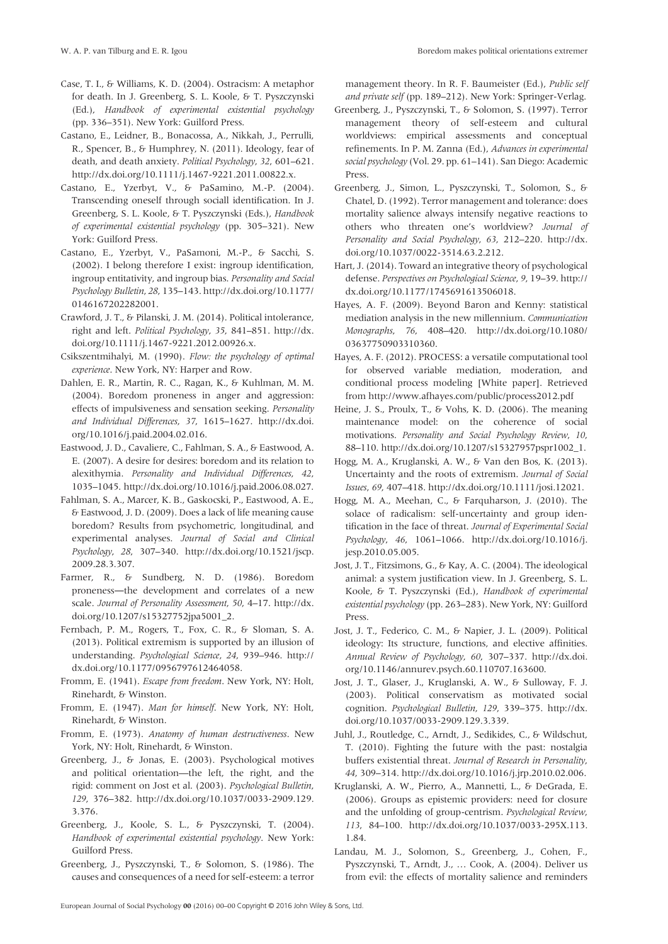- Case, T. I., & Williams, K. D. (2004). Ostracism: A metaphor for death. In J. Greenberg, S. L. Koole, & T. Pyszczynski (Ed.), Handbook of experimental existential psychology (pp. 336–351). New York: Guilford Press.
- Castano, E., Leidner, B., Bonacossa, A., Nikkah, J., Perrulli, R., Spencer, B., & Humphrey, N. (2011). Ideology, fear of death, and death anxiety. Political Psychology, 32, 601–621. [http://dx.doi.org/10.1111/j.1467-9221.2011.00822.x.](http://dx.doi.org/10.1111/j.1467-9221.2011.00822.x)
- Castano, E., Yzerbyt, V., & PaSamino, M.-P. (2004). Transcending oneself through sociall identification. In J. Greenberg, S. L. Koole, & T. Pyszczynski (Eds.), Handbook of experimental existential psychology (pp. 305–321). New York: Guilford Press.
- Castano, E., Yzerbyt, V., PaSamoni, M.-P., & Sacchi, S. (2002). I belong therefore I exist: ingroup identification, ingroup entitativity, and ingroup bias. Personality and Social Psychology Bulletin, 28, 135–143. [http://dx.doi.org/10.1177/](http://dx.doi.org/10.1177/0146167202282001) [0146167202282001](http://dx.doi.org/10.1177/0146167202282001).
- Crawford, J. T., & Pilanski, J. M. (2014). Political intolerance, right and left. Political Psychology, 35, 841–851. [http://dx.](http://dx.doi.org/10.1111/j.1467-9221.2012.00926.x) [doi.org/10.1111/j.1467-9221.2012.00926.x](http://dx.doi.org/10.1111/j.1467-9221.2012.00926.x).
- Csikszentmihalyi, M. (1990). Flow: the psychology of optimal experience. New York, NY: Harper and Row.
- Dahlen, E. R., Martin, R. C., Ragan, K., & Kuhlman, M. M. (2004). Boredom proneness in anger and aggression: effects of impulsiveness and sensation seeking. Personality and Individual Differences, 37, 1615–1627. [http://dx.doi.](http://dx.doi.org/10.1016/j.paid.2004.02.016) [org/10.1016/j.paid.2004.02.016.](http://dx.doi.org/10.1016/j.paid.2004.02.016)
- Eastwood, J. D., Cavaliere, C., Fahlman, S. A., & Eastwood, A. E. (2007). A desire for desires: boredom and its relation to alexithymia. Personality and Individual Differences, 42, 1035–1045.<http://dx.doi.org/10.1016/j.paid.2006.08.027>.
- Fahlman, S. A., Marcer, K. B., Gaskocski, P., Eastwood, A. E., & Eastwood, J. D. (2009). Does a lack of life meaning cause boredom? Results from psychometric, longitudinal, and experimental analyses. Journal of Social and Clinical Psychology, 28, 307–340. [http://dx.doi.org/10.1521/jscp.](http://dx.doi.org/10.1521/jscp.2009.28.3.307) [2009.28.3.307.](http://dx.doi.org/10.1521/jscp.2009.28.3.307)
- Farmer, R., & Sundberg, N. D. (1986). Boredom proneness―the development and correlates of a new scale. Journal of Personality Assessment, 50, 4–17. [http://dx.](http://dx.doi.org/10.1207/s15327752jpa5001_2) [doi.org/10.1207/s15327752jpa5001\\_2.](http://dx.doi.org/10.1207/s15327752jpa5001_2)
- Fernbach, P. M., Rogers, T., Fox, C. R., & Sloman, S. A. (2013). Political extremism is supported by an illusion of understanding. Psychological Science, 24, 939–946. [http://](http://dx.doi.org/10.1177/0956797612464058) [dx.doi.org/10.1177/0956797612464058.](http://dx.doi.org/10.1177/0956797612464058)
- Fromm, E. (1941). Escape from freedom. New York, NY: Holt, Rinehardt, & Winston.
- Fromm, E. (1947). Man for himself. New York, NY: Holt, Rinehardt, & Winston.
- Fromm, E. (1973). Anatomy of human destructiveness. New York, NY: Holt, Rinehardt, & Winston.
- Greenberg, J., & Jonas, E. (2003). Psychological motives and political orientation—the left, the right, and the rigid: comment on Jost et al. (2003). Psychological Bulletin, 129, 376–382. [http://dx.doi.org/10.1037/0033-2909.129.](http://dx.doi.org/10.1037/0033-2909.129.3.376) [3.376](http://dx.doi.org/10.1037/0033-2909.129.3.376).
- Greenberg, J., Koole, S. L., & Pyszczynski, T. (2004). Handbook of experimental existential psychology. New York: Guilford Press.
- Greenberg, J., Pyszczynski, T., & Solomon, S. (1986). The causes and consequences of a need for self-esteem: a terror

management theory. In R. F. Baumeister (Ed.), Public self and private self (pp. 189–212). New York: Springer-Verlag.

- Greenberg, J., Pyszczynski, T., & Solomon, S. (1997). Terror management theory of self-esteem and cultural worldviews: empirical assessments and conceptual refinements. In P. M. Zanna (Ed.), Advances in experimental social psychology (Vol. 29. pp. 61–141). San Diego: Academic Press.
- Greenberg, J., Simon, L., Pyszczynski, T., Solomon, S., & Chatel, D. (1992). Terror management and tolerance: does mortality salience always intensify negative reactions to others who threaten one's worldview? Journal of Personality and Social Psychology, 63, 212–220. [http://dx.](http://dx.doi.org/10.1037/0022-3514.63.2.212) [doi.org/10.1037/0022-3514.63.2.212.](http://dx.doi.org/10.1037/0022-3514.63.2.212)
- Hart, J. (2014). Toward an integrative theory of psychological defense. Perspectives on Psychological Science, 9, 19–39. [http://](http://dx.doi.org/10.1177/1745691613506018) [dx.doi.org/10.1177/1745691613506018.](http://dx.doi.org/10.1177/1745691613506018)
- Hayes, A. F. (2009). Beyond Baron and Kenny: statistical mediation analysis in the new millennium. Communication Monographs, 76, 408–420. [http://dx.doi.org/10.1080/](http://dx.doi.org/10.1080/03637750903310360) [03637750903310360.](http://dx.doi.org/10.1080/03637750903310360)
- Hayes, A. F. (2012). PROCESS: a versatile computational tool for observed variable mediation, moderation, and conditional process modeling [White paper]. Retrieved from<http://www.afhayes.com/public/process2012.pdf>
- Heine, J. S., Proulx, T., & Vohs, K. D. (2006). The meaning maintenance model: on the coherence of social motivations. Personality and Social Psychology Review, 10, 88–110. [http://dx.doi.org/10.1207/s15327957pspr1002\\_1](http://dx.doi.org/10.1207/s15327957pspr1002_1).
- Hogg, M. A., Kruglanski, A. W., & Van den Bos, K. (2013). Uncertainty and the roots of extremism. Journal of Social Issues, 69, 407–418. [http://dx.doi.org/10.1111/josi.12021.](http://dx.doi.org/10.1111/josi.12021)
- Hogg, M. A., Meehan, C., & Farquharson, J. (2010). The solace of radicalism: self-uncertainty and group identification in the face of threat. Journal of Experimental Social Psychology, 46, 1061–1066. [http://dx.doi.org/10.1016/j.](http://dx.doi.org/10.1016/j.jesp.2010.05.005) [jesp.2010.05.005](http://dx.doi.org/10.1016/j.jesp.2010.05.005).
- Jost, J. T., Fitzsimons, G., & Kay, A. C. (2004). The ideological animal: a system justification view. In J. Greenberg, S. L. Koole, & T. Pyszczynski (Ed.), Handbook of experimental existential psychology (pp. 263–283). New York, NY: Guilford Press.
- Jost, J. T., Federico, C. M., & Napier, J. L. (2009). Political ideology: Its structure, functions, and elective affinities. Annual Review of Psychology, 60, 307–337. [http://dx.doi.](http://dx.doi.org/10.1146/annurev.psych.60.110707.163600) [org/10.1146/annurev.psych.60.110707.163600.](http://dx.doi.org/10.1146/annurev.psych.60.110707.163600)
- Jost, J. T., Glaser, J., Kruglanski, A. W., & Sulloway, F. J. (2003). Political conservatism as motivated social cognition. Psychological Bulletin, 129, 339–375. [http://dx.](http://dx.doi.org/10.1037/0033-2909.129.3.339) [doi.org/10.1037/0033-2909.129.3.339.](http://dx.doi.org/10.1037/0033-2909.129.3.339)
- Juhl, J., Routledge, C., Arndt, J., Sedikides, C., & Wildschut, T. (2010). Fighting the future with the past: nostalgia buffers existential threat. Journal of Research in Personality, 44, 309–314. [http://dx.doi.org/10.1016/j.jrp.2010.02.006.](http://dx.doi.org/10.1016/j.jrp.2010.02.006)
- Kruglanski, A. W., Pierro, A., Mannetti, L., & DeGrada, E. (2006). Groups as epistemic providers: need for closure and the unfolding of group-centrism. Psychological Review, 113, 84–100. [http://dx.doi.org/10.1037/0033-295X.113.](http://dx.doi.org/10.1037/0033-295X.113.1.84) [1.84](http://dx.doi.org/10.1037/0033-295X.113.1.84).
- Landau, M. J., Solomon, S., Greenberg, J., Cohen, F., Pyszczynski, T., Arndt, J., … Cook, A. (2004). Deliver us from evil: the effects of mortality salience and reminders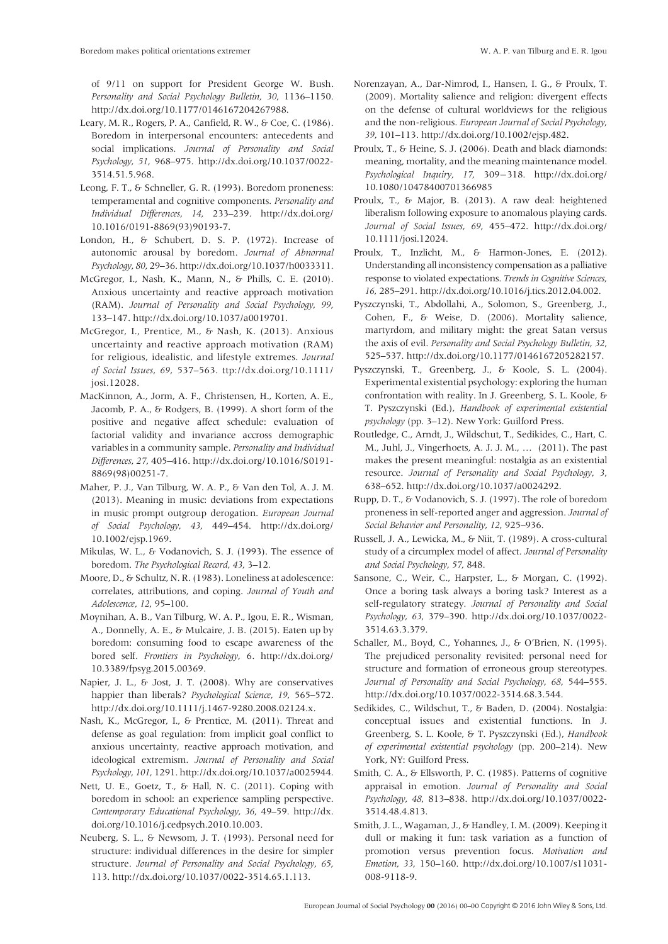of 9/11 on support for President George W. Bush. Personality and Social Psychology Bulletin, 30, 1136–1150. <http://dx.doi.org/10.1177/0146167204267988>.

- Leary, M. R., Rogers, P. A., Canfield, R. W., & Coe, C. (1986). Boredom in interpersonal encounters: antecedents and social implications. Journal of Personality and Social Psychology, 51, 968–975. [http://dx.doi.org/10.1037/0022-](http://dx.doi.org/10.1037/0022-3514.51.5.968) [3514.51.5.968](http://dx.doi.org/10.1037/0022-3514.51.5.968).
- Leong, F. T., & Schneller, G. R. (1993). Boredom proneness: temperamental and cognitive components. Personality and Individual Differences, 14, 233–239. [http://dx.doi.org/](http://dx.doi.org/10.1016/0191-8869(93)90193-7) [10.1016/0191-8869\(93\)90193-7](http://dx.doi.org/10.1016/0191-8869(93)90193-7).
- London, H., & Schubert, D. S. P. (1972). Increase of autonomic arousal by boredom. Journal of Abnormal Psychology, 80, 29–36.<http://dx.doi.org/10.1037/h0033311>.
- McGregor, I., Nash, K., Mann, N., & Phills, C. E. (2010). Anxious uncertainty and reactive approach motivation (RAM). Journal of Personality and Social Psychology, 99, 133–147.<http://dx.doi.org/10.1037/a0019701>.
- McGregor, I., Prentice, M., & Nash, K. (2013). Anxious uncertainty and reactive approach motivation (RAM) for religious, idealistic, and lifestyle extremes. Journal of Social Issues, 69, 537–563. [ttp://dx.doi.org/10.1111/](http://dx.doi.org/10.1111/josi.12028) [josi.12028.](http://dx.doi.org/10.1111/josi.12028)
- MacKinnon, A., Jorm, A. F., Christensen, H., Korten, A. E., Jacomb, P. A., & Rodgers, B. (1999). A short form of the positive and negative affect schedule: evaluation of factorial validity and invariance accross demographic variables in a community sample. Personality and Individual Differences, 27, 405–416. [http://dx.doi.org/10.1016/S0191-](http://dx.doi.org/10.1016/S0191-8869(98)00251-7) [8869\(98\)00251-7.](http://dx.doi.org/10.1016/S0191-8869(98)00251-7)
- Maher, P. J., Van Tilburg, W. A. P., & Van den Tol, A. J. M. (2013). Meaning in music: deviations from expectations in music prompt outgroup derogation. European Journal of Social Psychology, 43, 449–454. [http://dx.doi.org/](http://dx.doi.org/10.1002/ejsp.1969) [10.1002/ejsp.1969.](http://dx.doi.org/10.1002/ejsp.1969)
- Mikulas, W. L., & Vodanovich, S. J. (1993). The essence of boredom. The Psychological Record, 43, 3–12.
- Moore, D., & Schultz, N. R. (1983). Loneliness at adolescence: correlates, attributions, and coping. Journal of Youth and Adolescence, 12, 95–100.
- Moynihan, A. B., Van Tilburg, W. A. P., Igou, E. R., Wisman, A., Donnelly, A. E., & Mulcaire, J. B. (2015). Eaten up by boredom: consuming food to escape awareness of the bored self. Frontiers in Psychology, 6. [http://dx.doi.org/](http://dx.doi.org/10.3389/fpsyg.2015.00369) [10.3389/fpsyg.2015.00369](http://dx.doi.org/10.3389/fpsyg.2015.00369).
- Napier, J. L., & Jost, J. T. (2008). Why are conservatives happier than liberals? Psychological Science, 19, 565–572. <http://dx.doi.org/10.1111/j.1467-9280.2008.02124.x>.
- Nash, K., McGregor, I., & Prentice, M. (2011). Threat and defense as goal regulation: from implicit goal conflict to anxious uncertainty, reactive approach motivation, and ideological extremism. Journal of Personality and Social Psychology, 101, 1291.<http://dx.doi.org/10.1037/a0025944>.
- Nett, U. E., Goetz, T., & Hall, N. C. (2011). Coping with boredom in school: an experience sampling perspective. Contemporary Educational Psychology, 36, 49–59. [http://dx.](http://dx.doi.org/10.1016/j.cedpsych.2010.10.003) [doi.org/10.1016/j.cedpsych.2010.10.003](http://dx.doi.org/10.1016/j.cedpsych.2010.10.003).
- Neuberg, S. L., & Newsom, J. T. (1993). Personal need for structure: individual differences in the desire for simpler structure. Journal of Personality and Social Psychology, 65, 113. [http://dx.doi.org/10.1037/0022-3514.65.1.113.](http://dx.doi.org/10.1037/0022-3514.65.1.113)
- Norenzayan, A., Dar-Nimrod, I., Hansen, I. G., & Proulx, T. (2009). Mortality salience and religion: divergent effects on the defense of cultural worldviews for the religious and the non-religious. European Journal of Social Psychology, 39, 101–113.<http://dx.doi.org/10.1002/ejsp.482>.
- Proulx, T., & Heine, S. J. (2006). Death and black diamonds: meaning, mortality, and the meaning maintenance model. Psychological Inquiry, 17, 309-318. [http://dx.doi.org/](http://dx.doi.org/10.1080/10478400701366985) [10.1080/10478400701366985](http://dx.doi.org/10.1080/10478400701366985)
- Proulx, T., & Major, B. (2013). A raw deal: heightened liberalism following exposure to anomalous playing cards. Journal of Social Issues, 69, 455–472. [http://dx.doi.org/](http://dx.doi.org/10.1111/josi.12024) [10.1111/josi.12024](http://dx.doi.org/10.1111/josi.12024).
- Proulx, T., Inzlicht, M., & Harmon-Jones, E. (2012). Understanding all inconsistency compensation as a palliative response to violated expectations. Trends in Cognitive Sciences, 16, 285–291. [http://dx.doi.org/10.1016/j.tics.2012.04.002.](http://dx.doi.org/10.1016/j.tics.2012.04.002)
- Pyszczynski, T., Abdollahi, A., Solomon, S., Greenberg, J., Cohen, F., & Weise, D. (2006). Mortality salience, martyrdom, and military might: the great Satan versus the axis of evil. Personality and Social Psychology Bulletin, 32, 525–537.<http://dx.doi.org/10.1177/0146167205282157>.
- Pyszczynski, T., Greenberg, J., & Koole, S. L. (2004). Experimental existential psychology: exploring the human confrontation with reality. In J. Greenberg, S. L. Koole, & T. Pyszczynski (Ed.), Handbook of experimental existential psychology (pp. 3–12). New York: Guilford Press.
- Routledge, C., Arndt, J., Wildschut, T., Sedikides, C., Hart, C. M., Juhl, J., Vingerhoets, A. J. J. M., … (2011). The past makes the present meaningful: nostalgia as an existential resource. Journal of Personality and Social Psychology, 3, 638–652.<http://dx.doi.org/10.1037/a0024292>.
- Rupp, D. T., & Vodanovich, S. J. (1997). The role of boredom proneness in self-reported anger and aggression. Journal of Social Behavior and Personality, 12, 925–936.
- Russell, J. A., Lewicka, M., & Niit, T. (1989). A cross-cultural study of a circumplex model of affect. Journal of Personality and Social Psychology, 57, 848.
- Sansone, C., Weir, C., Harpster, L., & Morgan, C. (1992). Once a boring task always a boring task? Interest as a self-regulatory strategy. Journal of Personality and Social Psychology, 63, 379–390. [http://dx.doi.org/10.1037/0022-](http://dx.doi.org/10.1037/0022-3514.63.3.379) [3514.63.3.379](http://dx.doi.org/10.1037/0022-3514.63.3.379).
- Schaller, M., Boyd, C., Yohannes, J., & O'Brien, N. (1995). The prejudiced personality revisited: personal need for structure and formation of erroneous group stereotypes. Journal of Personality and Social Psychology, 68, 544–555. <http://dx.doi.org/10.1037/0022-3514.68.3.544>.
- Sedikides, C., Wildschut, T., & Baden, D. (2004). Nostalgia: conceptual issues and existential functions. In J. Greenberg, S. L. Koole, & T. Pyszczynski (Ed.), Handbook of experimental existential psychology (pp. 200–214). New York, NY: Guilford Press.
- Smith, C. A., & Ellsworth, P. C. (1985). Patterns of cognitive appraisal in emotion. Journal of Personality and Social Psychology, 48, 813–838. [http://dx.doi.org/10.1037/0022-](http://dx.doi.org/10.1037/0022-3514.48.4.813) [3514.48.4.813](http://dx.doi.org/10.1037/0022-3514.48.4.813).
- Smith, J. L., Wagaman, J., & Handley, I. M. (2009). Keeping it dull or making it fun: task variation as a function of promotion versus prevention focus. Motivation and Emotion, 33, 150–160. [http://dx.doi.org/10.1007/s11031-](http://dx.doi.org/10.1007/s11031-008-9118-9) [008-9118-9.](http://dx.doi.org/10.1007/s11031-008-9118-9)